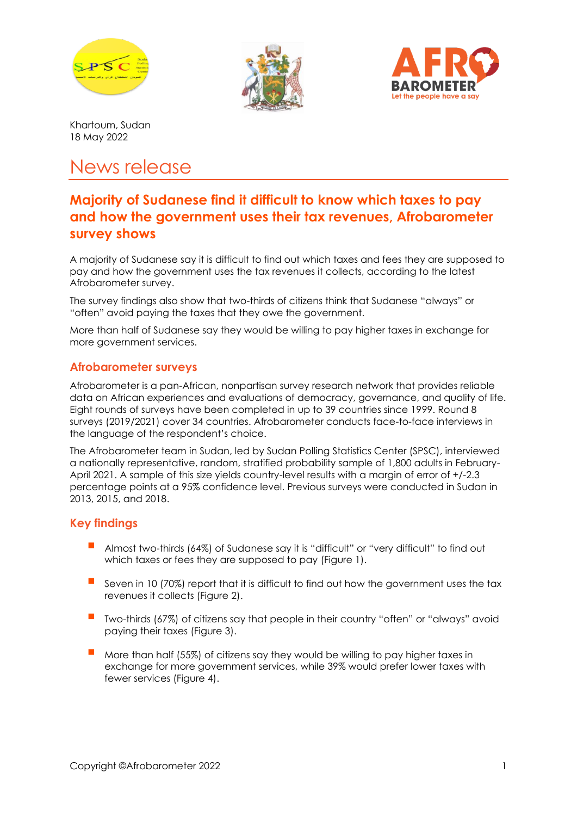





Khartoum, Sudan 18 May 2022

# News release

# **Majority of Sudanese find it difficult to know which taxes to pay and how the government uses their tax revenues, Afrobarometer survey shows**

A majority of Sudanese say it is difficult to find out which taxes and fees they are supposed to pay and how the government uses the tax revenues it collects, according to the latest Afrobarometer survey.

The survey findings also show that two-thirds of citizens think that Sudanese "always" or "often" avoid paying the taxes that they owe the government.

More than half of Sudanese say they would be willing to pay higher taxes in exchange for more government services.

#### **Afrobarometer surveys**

Afrobarometer is a pan-African, nonpartisan survey research network that provides reliable data on African experiences and evaluations of democracy, governance, and quality of life. Eight rounds of surveys have been completed in up to 39 countries since 1999. Round 8 surveys (2019/2021) cover 34 countries. Afrobarometer conducts face-to-face interviews in the language of the respondent's choice.

The Afrobarometer team in Sudan, led by Sudan Polling Statistics Center (SPSC), interviewed a nationally representative, random, stratified probability sample of 1,800 adults in February-April 2021. A sample of this size yields country-level results with a margin of error of +/-2.3 percentage points at a 95% confidence level. Previous surveys were conducted in Sudan in 2013, 2015, and 2018.

## **Key findings**

- Almost two-thirds (64%) of Sudanese say it is "difficult" or "very difficult" to find out which taxes or fees they are supposed to pay (Figure 1).
- Seven in 10 (70%) report that it is difficult to find out how the government uses the tax revenues it collects (Figure 2).
- Two-thirds (67%) of citizens say that people in their country "often" or "always" avoid paying their taxes (Figure 3).
- More than half (55%) of citizens say they would be willing to pay higher taxes in exchange for more government services, while 39% would prefer lower taxes with fewer services (Figure 4).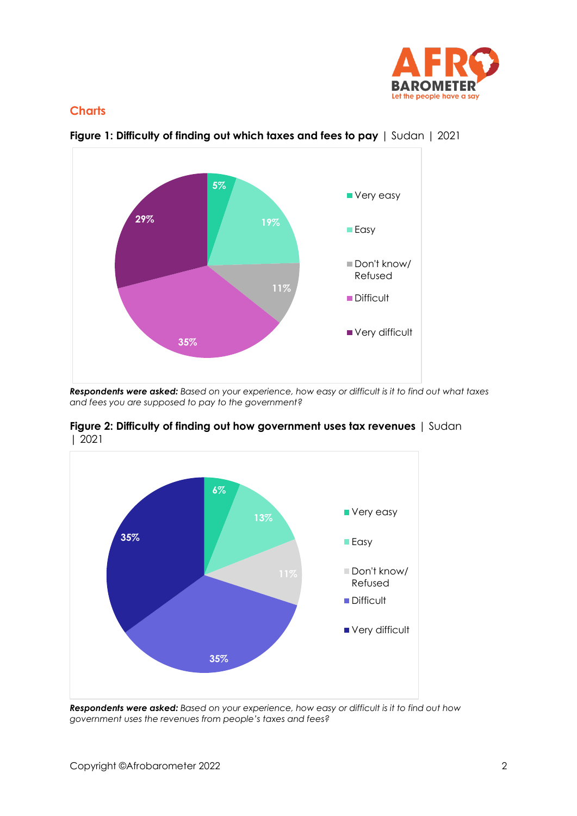

#### **Charts**



**Figure 1: Difficulty of finding out which taxes and fees to pay** | Sudan | 2021

*Respondents were asked: Based on your experience, how easy or difficult is it to find out what taxes and fees you are supposed to pay to the government?*



**Figure 2: Difficulty of finding out how government uses tax revenues** | Sudan | 2021

*Respondents were asked: Based on your experience, how easy or difficult is it to find out how government uses the revenues from people's taxes and fees?*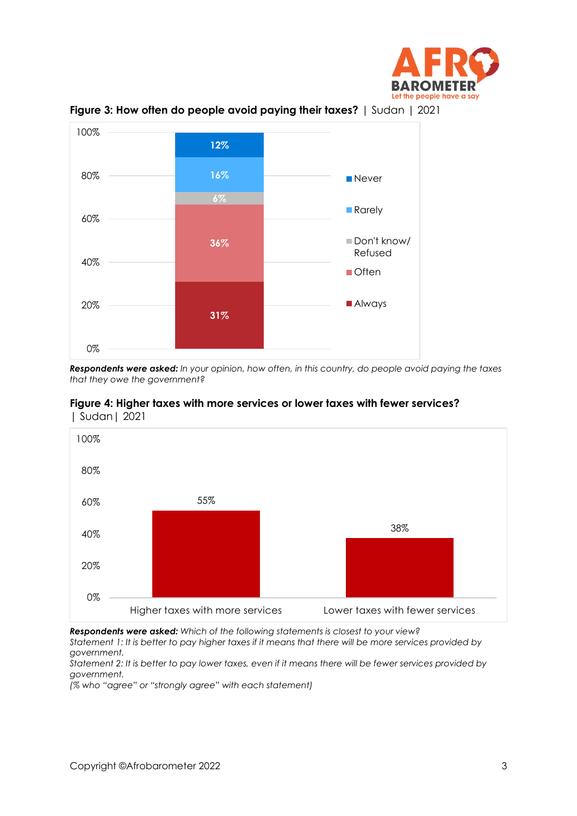



**Figure 3: How often do people avoid paying their taxes?** | Sudan | 2021

*Respondents were asked: In your opinion, how often, in this country, do people avoid paying the taxes that they owe the government?*





*Respondents were asked: Which of the following statements is closest to your view? Statement 1: It is better to pay higher taxes if it means that there will be more services provided by government.* 

*Statement 2: It is better to pay lower taxes, even if it means there will be fewer services provided by government.*

*(% who "agree" or "strongly agree" with each statement)*